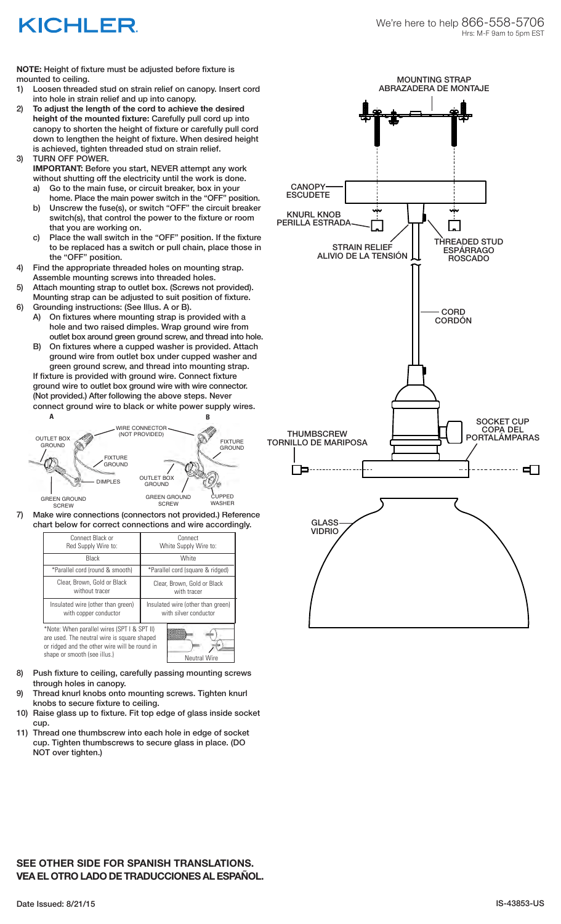## KICHLER

**NOTE:** Height of fixture must be adjusted before fixture is mounted to ceiling.

- 1) Loosen threaded stud on strain relief on canopy. Insert cord into hole in strain relief and up into canopy.
- 2) **To adjust the length of the cord to achieve the desired height of the mounted fixture:** Carefully pull cord up into canopy to shorten the height of fixture or carefully pull cord down to lengthen the height of fixture. When desired height is achieved, tighten threaded stud on strain relief. 3) TURN OFF POWER.
	- **IMPORTANT:** Before you start, NEVER attempt any work without shutting off the electricity until the work is done.
		- a) Go to the main fuse, or circuit breaker, box in your home. Place the main power switch in the "OFF" position.
		- b) Unscrew the fuse(s), or switch "OFF" the circuit breaker switch(s), that control the power to the fixture or room that you are working on.
		- c) Place the wall switch in the "OFF" position. If the fixture to be replaced has a switch or pull chain, place those in the "OFF" position.
- 4) Find the appropriate threaded holes on mounting strap. Assemble mounting screws into threaded holes.
- 5) Attach mounting strap to outlet box. (Screws not provided). Mounting strap can be adjusted to suit position of fixture.
- 6) Grounding instructions: (See Illus. A or B). A) On fixtures where mounting strap is provided with a hole and two raised dimples. Wrap ground wire from
	- outlet box around green ground screw, and thread into hole. B) On fixtures where a cupped washer is provided. Attach ground wire from outlet box under cupped washer and

 green ground screw, and thread into mounting strap. If fixture is provided with ground wire. Connect fixture ground wire to outlet box ground wire with wire connector. (Not provided.) After following the above steps. Never connect ground wire to black or white power supply wires.



| art below for correct connections and wire according                                                                                        |                                                            |
|---------------------------------------------------------------------------------------------------------------------------------------------|------------------------------------------------------------|
| Connect Black or<br>Red Supply Wire to:                                                                                                     | Connect<br>White Supply Wire to:                           |
| Black                                                                                                                                       | White                                                      |
| *Parallel cord (round & smooth)                                                                                                             | *Parallel cord (square & ridged)                           |
| Clear, Brown, Gold or Black<br>without tracer                                                                                               | Clear, Brown, Gold or Black<br>with tracer                 |
| Insulated wire (other than green)<br>with copper conductor                                                                                  | Insulated wire (other than green)<br>with silver conductor |
| *Note: When parallel wires (SPT I & SPT II)<br>are used. The neutral wire is square shaped<br>or ridged and the other wire will be round in |                                                            |

- 8) Push fixture to ceiling, carefully passing mounting screws shape or smooth (see illus.) Neutral Wire
- through holes in canopy. 9) Thread knurl knobs onto mounting screws. Tighten knurl knobs to secure fixture to ceiling.
- 10) Raise glass up to fixture. Fit top edge of glass inside socket cup.
- 11) Thread one thumbscrew into each hole in edge of socket cup. Tighten thumbscrews to secure glass in place. (DO NOT over tighten.)



## **SEE OTHER SIDE FOR SPANISH TRANSLATIONS. VEA EL OTRO LADO DE TRADUCCIONES AL ESPAÑOL.**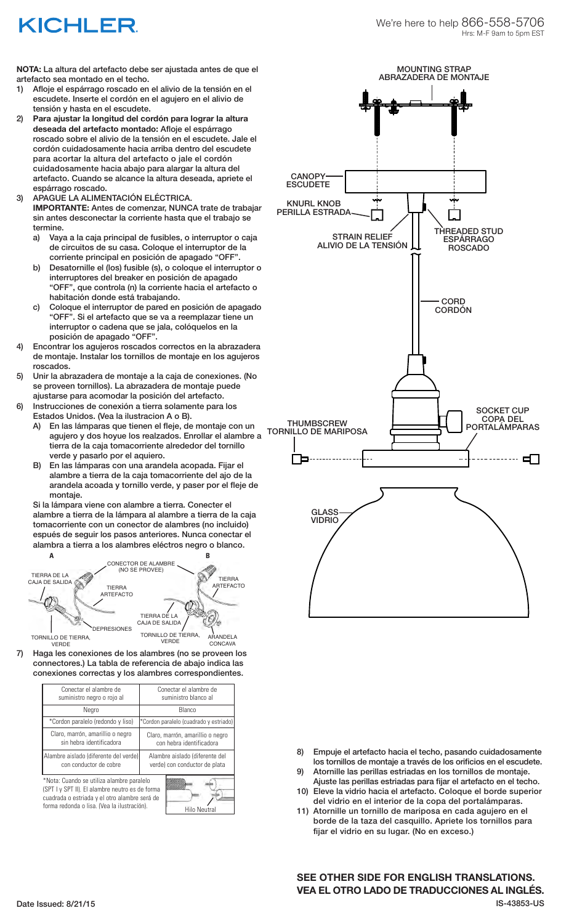## KICHLER

**NOTA:** La altura del artefacto debe ser ajustada antes de que el artefacto sea montado en el techo.

- 1) Afloje el espárrago roscado en el alivio de la tensión en el escudete. Inserte el cordón en el agujero en el alivio de tensión y hasta en el escudete.
- 2) **Para ajustar la longitud del cordón para lograr la altura deseada del artefacto montado:** Afloje el espárrago roscado sobre el alivio de la tensión en el escudete. Jale el cordón cuidadosamente hacia arriba dentro del escudete para acortar la altura del artefacto o jale el cordón cuidadosamente hacia abajo para alargar la altura del artefacto. Cuando se alcance la altura deseada, apriete el espárrago roscado.
- 3) APAGUE LA ALIMENTACIÓN ELÉCTRICA. **IMPORTANTE:** Antes de comenzar, NUNCA trate de trabajar sin antes desconectar la corriente hasta que el trabajo se termine.
	- a) Vaya a la caja principal de fusibles, o interruptor o caja de circuitos de su casa. Coloque el interruptor de la corriente principal en posición de apagado "OFF".
	- b) Desatornille el (los) fusible (s), o coloque el interruptor o interruptores del breaker en posición de apagado "OFF", que controla (n) la corriente hacia el artefacto o habitación donde está trabajando.
	- c) Coloque el interruptor de pared en posición de apagado "OFF". Si el artefacto que se va a reemplazar tiene un interruptor o cadena que se jala, colóquelos en la posición de apagado "OFF".
- 4) Encontrar los agujeros roscados correctos en la abrazadera de montaje. Instalar los tornillos de montaje en los agujeros roscados.
- 5) Unir la abrazadera de montaje a la caja de conexiones. (No se proveen tornillos). La abrazadera de montaje puede ajustarse para acomodar la posición del artefacto.
- 6) Instrucciones de conexión a tierra solamente para los Estados Unidos. (Vea la ilustracion A o B).
	- A) En las lámparas que tienen el fleje, de montaje con un agujero y dos hoyue los realzados. Enrollar el alambre a tierra de la caja tomacorriente alrededor del tornillo verde y pasarlo por el aquiero.
	- B) En las lámparas con una arandela acopada. Fijar el alambre a tierra de la caja tomacorriente del ajo de la arandela acoada y tornillo verde, y paser por el fleje de montaje.

Si la lámpara viene con alambre a tierra. Conecter el alambre a tierra de la lámpara al alambre a tierra de la caja tomacorriente con un conector de alambres (no incluido) espués de seguir los pasos anteriores. Nunca conectar el alambra a tierra a los alambres eléctros negro o blanco.



7) Haga les conexiones de los alambres (no se proveen los connectores.) La tabla de referencia de abajo indica las conexiones correctas y los alambres correspondientes.

| Conectar el alambre de<br>suministro negro o rojo al                                                                                                                                                         | Conectar el alambre de<br>suministro blanco al                  |
|--------------------------------------------------------------------------------------------------------------------------------------------------------------------------------------------------------------|-----------------------------------------------------------------|
| Negro                                                                                                                                                                                                        | Blanco                                                          |
| *Cordon paralelo (redondo y liso)                                                                                                                                                                            | *Cordon paralelo (cuadrado y estriado)                          |
| Claro, marrón, amarillio o negro<br>sin hebra identificadora                                                                                                                                                 | Claro, marrón, amarillio o negro<br>con hebra identificadora    |
| Alambre aislado (diferente del verde)<br>con conductor de cobre                                                                                                                                              | Alambre aislado (diferente del<br>verde) con conductor de plata |
| *Nota: Cuando se utiliza alambre paralelo<br>(SPT I y SPT II). El alambre neutro es de forma<br>cuadrada o estriada y el otro alambre será de<br>forma redonda o lisa. (Vea la ilustración).<br>Hilo Neutral |                                                                 |



8) Empuje el artefacto hacia el techo, pasando cuidadosamente los tornillos de montaje a través de los orificios en el escudete.

- 9) Atornille las perillas estriadas en los tornillos de montaje. Ajuste las perillas estriadas para fijar el artefacto en el techo.
- 10) Eleve la vidrio hacia el artefacto. Coloque el borde superior del vidrio en el interior de la copa del portalámparas.
- 11) Atornille un tornillo de mariposa en cada agujero en el borde de la taza del casquillo. Apriete los tornillos para fijar el vidrio en su lugar. (No en exceso.)

Date Issued: 8/21/15 IS-43853-US **SEE OTHER SIDE FOR ENGLISH TRANSLATIONS. VEA EL OTRO LADO DE TRADUCCIONES AL INGLÉS.**